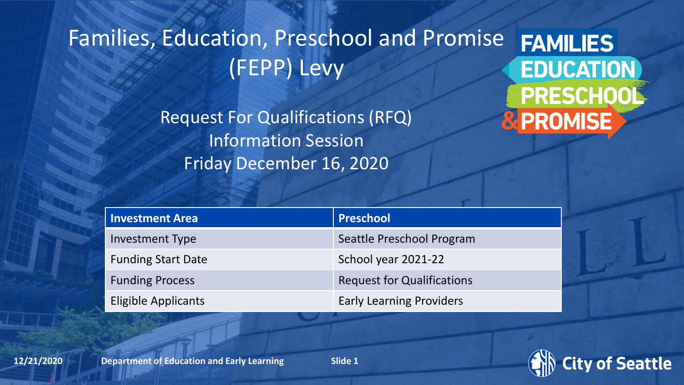### Families, Education, Preschool and Promise **FAMILIES** (FEPP) Levy

Request For Qualifications (RFQ) Information Session Friday December 16, 2020

**EDUCATION** PRESCHOOL **& PROMISE** 

| <b>Investment Area</b>     | Preschool                         |
|----------------------------|-----------------------------------|
| <b>Investment Type</b>     | Seattle Preschool Program         |
| <b>Funding Start Date</b>  | School year 2021-22               |
| <b>Funding Process</b>     | <b>Request for Qualifications</b> |
| <b>Eligible Applicants</b> | <b>Early Learning Providers</b>   |

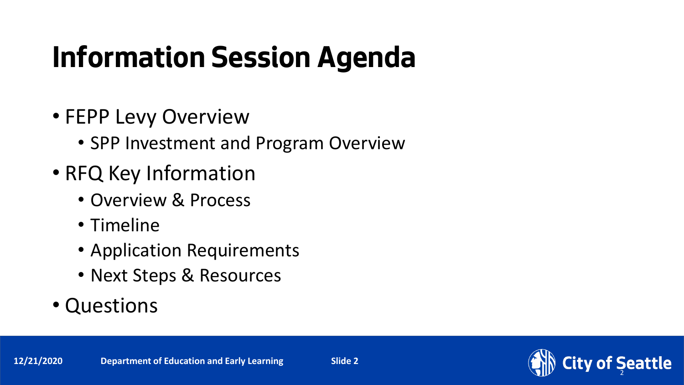# **Information Session Agenda**

- FEPP Levy Overview
	- SPP Investment and Program Overview
- RFQ Key Information
	- Overview & Process
	- Timeline
	- Application Requirements
	- Next Steps & Resources
- Questions

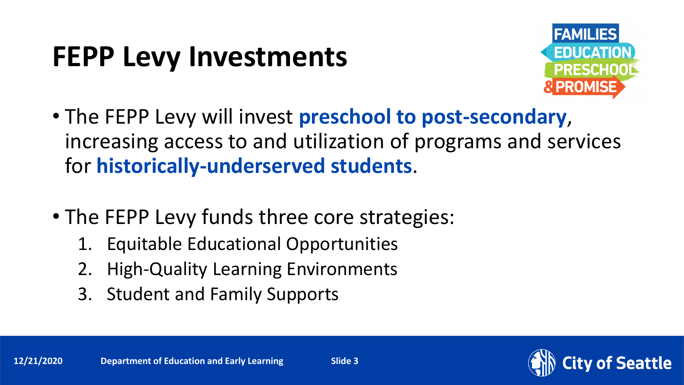## **FEPP Levy Investments**



- The FEPP Levy will invest **preschool to post-secondary**, increasing access to and utilization of programs and services for **historically-underserved students**.
- The FEPP Levy funds three core strategies:
	- 1. Equitable Educational Opportunities
	- 2. High-Quality Learning Environments
	- 3. Student and Family Supports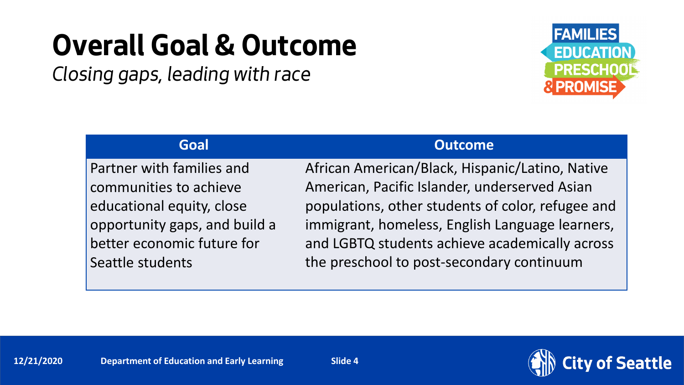## **Overall Goal & Outcome**

*Closing gaps, leading with race*



Partner with families and communities to achieve educational equity, close opportunity gaps, and build a better economic future for Seattle students

### **Goal Outcome**

African American/Black, Hispanic/Latino, Native American, Pacific Islander, underserved Asian populations, other students of color, refugee and immigrant, homeless, English Language learners, and LGBTQ students achieve academically across the preschool to post-secondary continuum

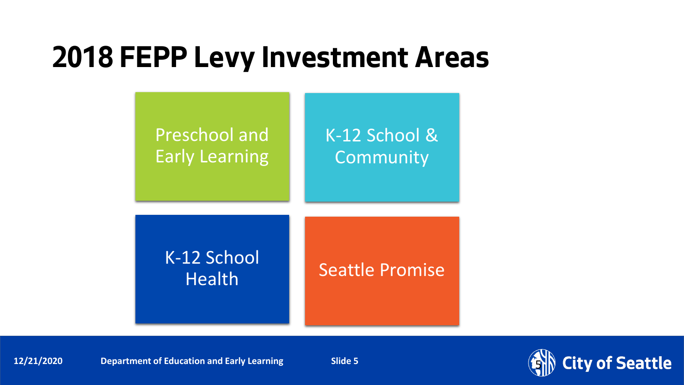## **2018 FEPP Levy Investment Areas**



**12/21/2020** Department of Education and Early Learning Slide 5

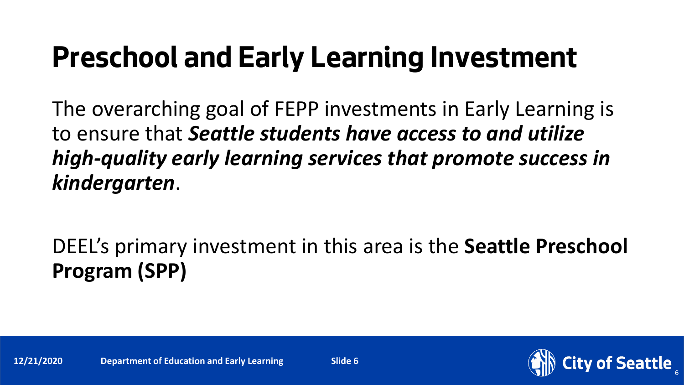## **Preschool and Early Learning Investment**

The overarching goal of FEPP investments in Early Learning is to ensure that *Seattle students have access to and utilize high-quality early learning services that promote success in kindergarten*.

DEEL's primary investment in this area is the **Seattle Preschool Program (SPP)**

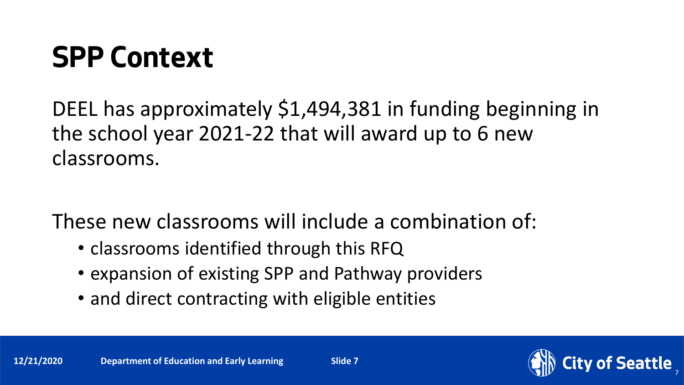## **SPP Context**

DEEL has approximately \$1,494,381 in funding beginning in the school year 2021-22 that will award up to 6 new classrooms.

These new classrooms will include a combination of:

- classrooms identified through this RFQ
- expansion of existing SPP and Pathway providers
- and direct contracting with eligible entities

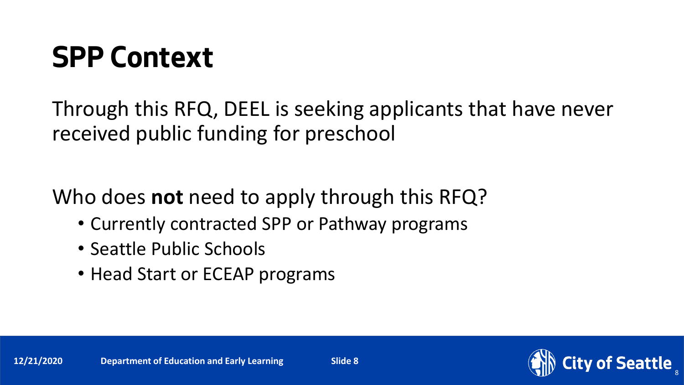## **SPP Context**

Through this RFQ, DEEL is seeking applicants that have never received public funding for preschool

Who does **not** need to apply through this RFQ?

- Currently contracted SPP or Pathway programs
- Seattle Public Schools
- Head Start or ECEAP programs



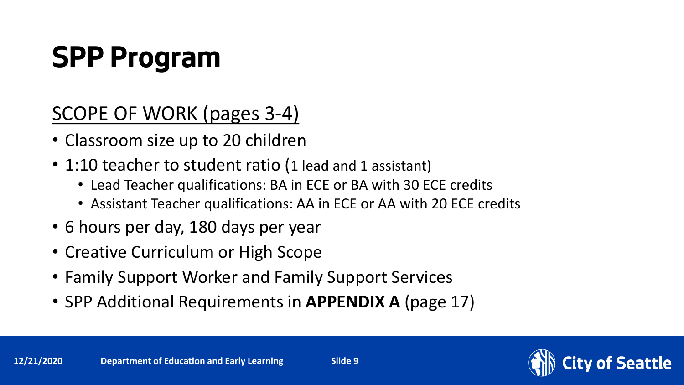# **SPP Program**

SCOPE OF WORK (pages 3-4)

- Classroom size up to 20 children
- 1:10 teacher to student ratio (1 lead and 1 assistant)
	- Lead Teacher qualifications: BA in ECE or BA with 30 ECE credits
	- Assistant Teacher qualifications: AA in ECE or AA with 20 ECE credits
- 6 hours per day, 180 days per year
- Creative Curriculum or High Scope
- Family Support Worker and Family Support Services
- SPP Additional Requirements in **APPENDIX A** (page 17)

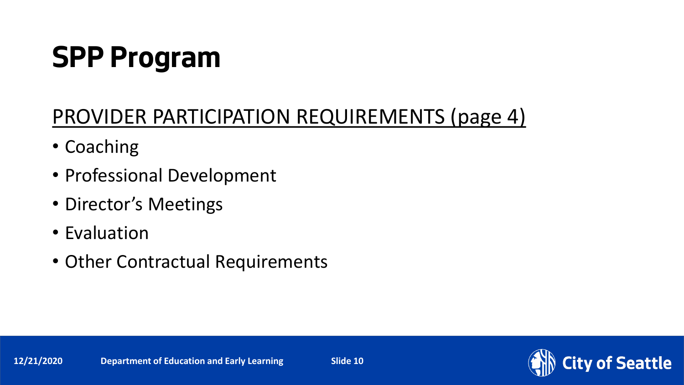# **SPP Program**

### PROVIDER PARTICIPATION REQUIREMENTS (page 4)

- Coaching
- Professional Development
- Director's Meetings
- Evaluation
- Other Contractual Requirements

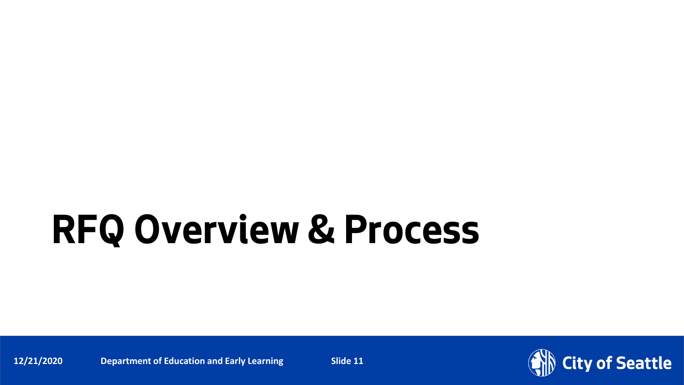**12/21/2020** Department of Education and Early Learning Slide 11

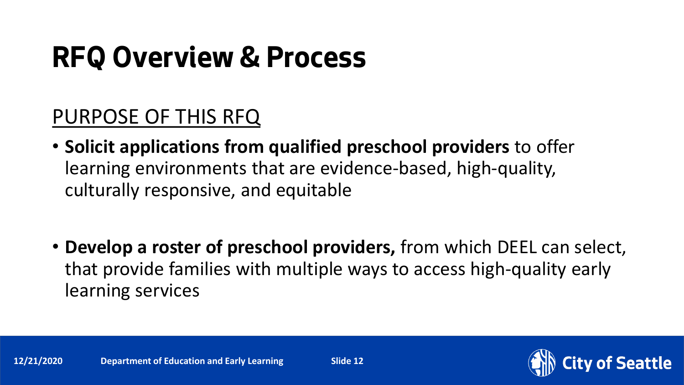### PURPOSE OF THIS RFQ

- **Solicit applications from qualified preschool providers** to offer learning environments that are evidence-based, high-quality, culturally responsive, and equitable
- **Develop a roster of preschool providers,** from which DEEL can select, that provide families with multiple ways to access high-quality early learning services

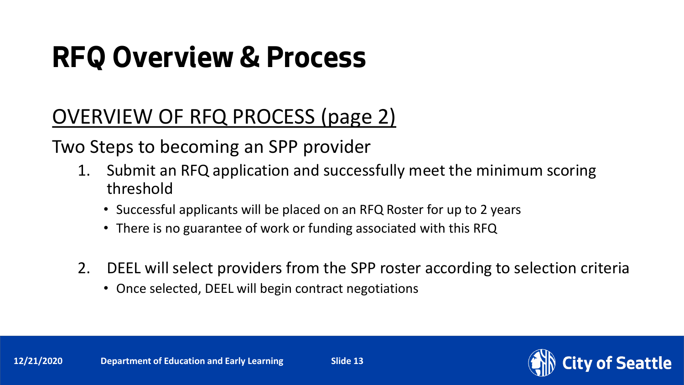### OVERVIEW OF RFQ PROCESS (page 2)

Two Steps to becoming an SPP provider

- 1. Submit an RFQ application and successfully meet the minimum scoring threshold
	- Successful applicants will be placed on an RFQ Roster for up to 2 years
	- There is no guarantee of work or funding associated with this RFQ
- 2. DEEL will select providers from the SPP roster according to selection criteria
	- Once selected, DEEL will begin contract negotiations

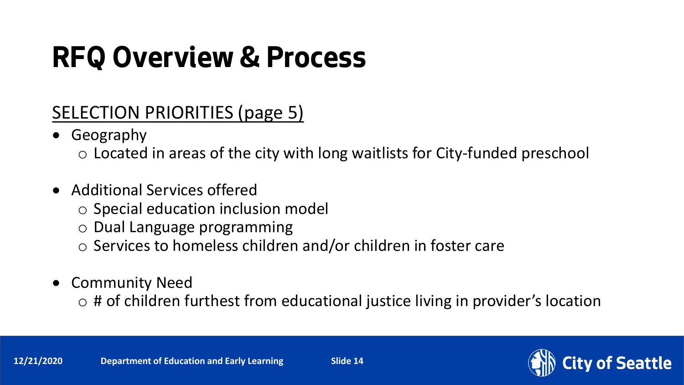### SELECTION PRIORITIES (page 5)

- Geography
	- o Located in areas of the city with long waitlists for City-funded preschool
- Additional Services offered
	- o Special education inclusion model
	- o Dual Language programming
	- o Services to homeless children and/or children in foster care
- Community Need
	- $\circ$  # of children furthest from educational justice living in provider's location

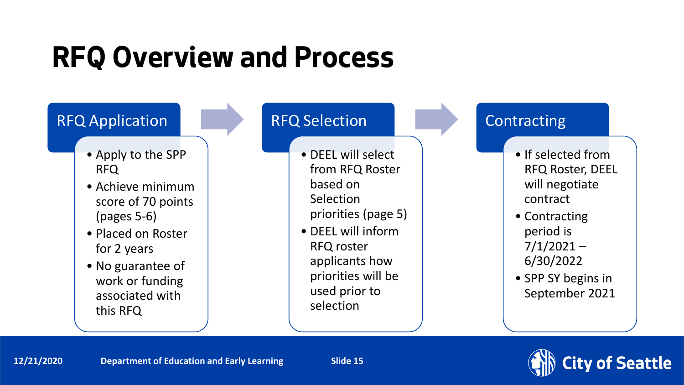

- Apply to the SPP RFQ
- Achieve minimum score of 70 points (pages 5-6)
- Placed on Roster for 2 years
- No guarantee of work or funding associated with this RFQ

### RFQ Selection

- DEEL will select from RFQ Roster based on Selection
	- priorities (page 5)
- DEEL will inform RFQ roster applicants how priorities will be used prior to selection

### **Contracting**

- If selected from RFQ Roster, DEEL will negotiate contract
- Contracting period is  $7/1/2021 -$ 6/30/2022
- SPP SY begins in September 2021



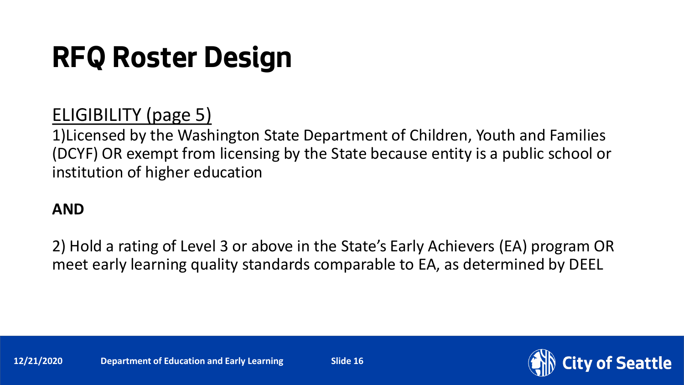## **RFQ Roster Design**

### ELIGIBILITY (page 5)

1)Licensed by the Washington State Department of Children, Youth and Families (DCYF) OR exempt from licensing by the State because entity is a public school or institution of higher education

### **AND**

2) Hold a rating of Level 3 or above in the State's Early Achievers (EA) program OR meet early learning quality standards comparable to EA, as determined by DEEL

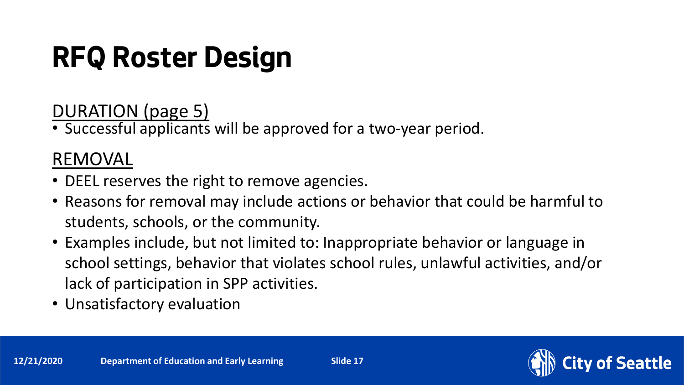# **RFQ Roster Design**

DURATION (page 5)

• Successful applicants will be approved for a two-year period.

### REMOVAL

- DEEL reserves the right to remove agencies.
- Reasons for removal may include actions or behavior that could be harmful to students, schools, or the community.
- Examples include, but not limited to: Inappropriate behavior or language in school settings, behavior that violates school rules, unlawful activities, and/or lack of participation in SPP activities.
- Unsatisfactory evaluation

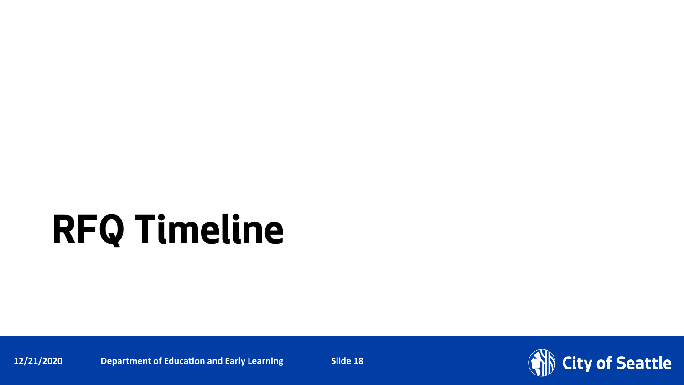# **RFQ Timeline**

**12/21/2020** Department of Education and Early Learning Slide 18

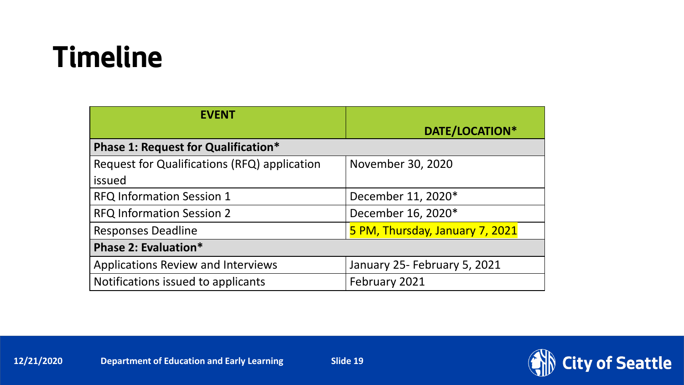## **Timeline**

| <b>EVENT</b>                                 |                                 |
|----------------------------------------------|---------------------------------|
|                                              | DATE/LOCATION*                  |
| <b>Phase 1: Request for Qualification*</b>   |                                 |
| Request for Qualifications (RFQ) application | November 30, 2020               |
| issued                                       |                                 |
| <b>RFQ Information Session 1</b>             | December 11, 2020*              |
| <b>RFQ Information Session 2</b>             | December 16, 2020*              |
| <b>Responses Deadline</b>                    | 5 PM, Thursday, January 7, 2021 |
| Phase 2: Evaluation*                         |                                 |
| <b>Applications Review and Interviews</b>    | January 25- February 5, 2021    |
| Notifications issued to applicants           | February 2021                   |

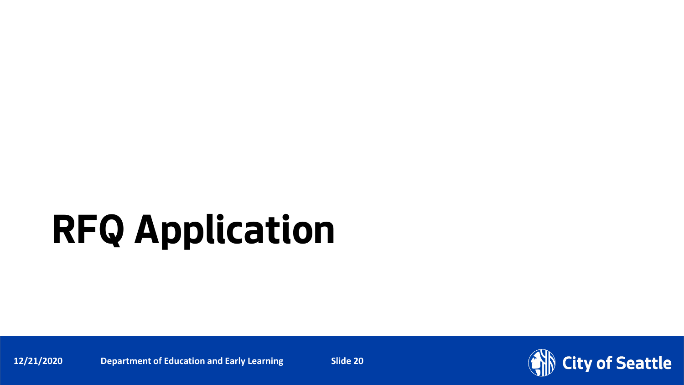# **RFQ Application**

**12/21/2020** Department of Education and Early Learning Slide 20

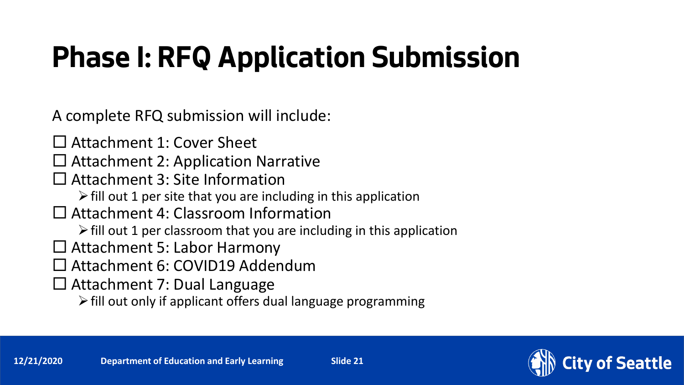# **Phase I: RFQ Application Submission**

A complete RFQ submission will include:

- □ Attachment 1: Cover Sheet
- $\Box$  Attachment 2: Application Narrative
- □ Attachment 3: Site Information
	- $\triangleright$  fill out 1 per site that you are including in this application
- □ Attachment 4: Classroom Information
	- $\triangleright$  fill out 1 per classroom that you are including in this application
- Attachment 5: Labor Harmony
- Attachment 6: COVID19 Addendum
- Attachment 7: Dual Language
	- $\triangleright$  fill out only if applicant offers dual language programming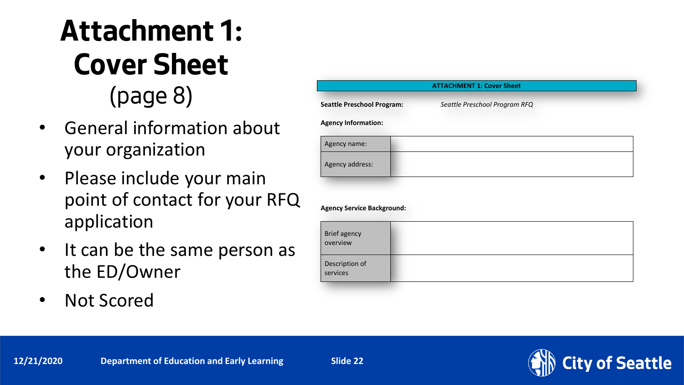## **Attachment 1: Cover Sheet** (page 8)

- General information about your organization
- Please include your main point of contact for your RFQ application
- It can be the same person as the ED/Owner
- Not Scored

|                                   | <b>ATTACHMENT 1: Cover Sheet</b> |  |
|-----------------------------------|----------------------------------|--|
| <b>Seattle Preschool Program:</b> | Seattle Preschool Program RFQ    |  |
| <b>Agency Information:</b>        |                                  |  |
| Agency name:                      |                                  |  |
| Agency address:                   |                                  |  |
|                                   |                                  |  |
|                                   |                                  |  |
| <b>Agency Service Background:</b> |                                  |  |

| Brief agency<br>overview   |  |
|----------------------------|--|
| Description of<br>services |  |

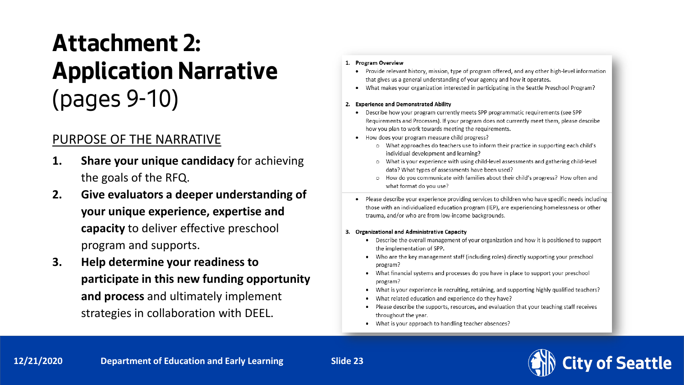## **Attachment 2: Application Narrative**  (pages 9-10)

### PURPOSE OF THE NARRATIVE

- **1. Share your unique candidacy** for achieving the goals of the RFQ.
- **2. Give evaluators a deeper understanding of your unique experience, expertise and capacity** to deliver effective preschool program and supports.
- **3. Help determine your readiness to participate in this new funding opportunity and process** and ultimately implement strategies in collaboration with DEEL.

#### 1. Program Overview

- Provide relevant history, mission, type of program offered, and any other high-level information that gives us a general understanding of your agency and how it operates.
- What makes your organization interested in participating in the Seattle Preschool Program?

#### 2. Experience and Demonstrated Ability

- Describe how your program currently meets SPP programmatic requirements (see SPP) Requirements and Processes). If your program does not currently meet them, please describe how you plan to work towards meeting the requirements.
- How does your program measure child progress?
	- o What approaches do teachers use to inform their practice in supporting each child's individual development and learning?
	- o What is your experience with using child-level assessments and gathering child-level data? What types of assessments have been used?
	- o How do you communicate with families about their child's progress? How often and what format do you use?
- Please describe your experience providing services to children who have specific needs including those with an individualized education program (IEP), are experiencing homelessness or other trauma, and/or who are from low-income backgrounds.

#### 3. Organizational and Administrative Capacity

- Describe the overall management of your organization and how it is positioned to support the implementation of SPP.
- Who are the key management staff (including roles) directly supporting your preschool program?
- What financial systems and processes do you have in place to support your preschool program?
- What is your experience in recruiting, retaining, and supporting highly qualified teachers?
- What related education and experience do they have?
- Please describe the supports, resources, and evaluation that your teaching staff receives throughout the year.
- What is your approach to handling teacher absences?

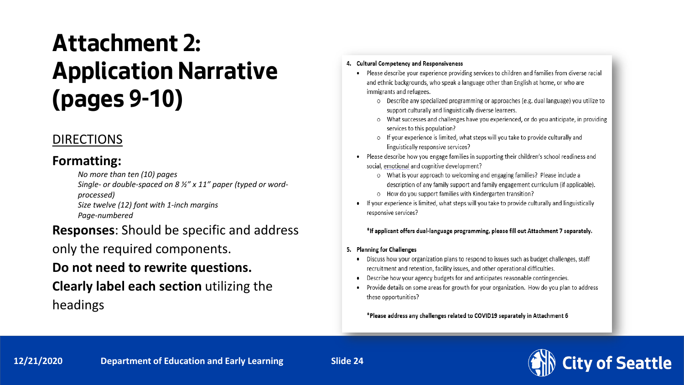## **Attachment 2: Application Narrative (pages 9-10)**

### DIRECTIONS

#### **Formatting:**

*No more than ten (10) pages*

*Single- or double-spaced on 8 ½" x 11" paper (typed or wordprocessed)*

*Size twelve (12) font with 1-inch margins Page-numbered*

#### **Responses**: Should be specific and address

only the required components.

### **Do not need to rewrite questions.**

### **Clearly label each section** utilizing the headings

#### 4. Cultural Competency and Responsiveness

- Please describe your experience providing services to children and families from diverse racial and ethnic backgrounds, who speak a language other than English at home, or who are immigrants and refugees.
	- o Describe any specialized programming or approaches (e.g. dual language) you utilize to support culturally and linguistically diverse learners.
	- o What successes and challenges have you experienced, or do you anticipate, in providing services to this population?
	- o If your experience is limited, what steps will you take to provide culturally and linguistically responsive services?
- Please describe how you engage families in supporting their children's school readiness and social, emotional and cognitive development?
	- o What is your approach to welcoming and engaging families? Please include a description of any family support and family engagement curriculum (if applicable). o How do you support families with Kindergarten transition?
- If your experience is limited, what steps will you take to provide culturally and linguistically responsive services?

#### \*If applicant offers dual-language programming, please fill out Attachment 7 separately.

- 5. Planning for Challenges
	- Discuss how your organization plans to respond to issues such as budget challenges, staff recruitment and retention, facility issues, and other operational difficulties.
	- Describe how your agency budgets for and anticipates reasonable contingencies.
	- Provide details on some areas for growth for your organization. How do you plan to address these opportunities?

\*Please address any challenges related to COVID19 separately in Attachment 6

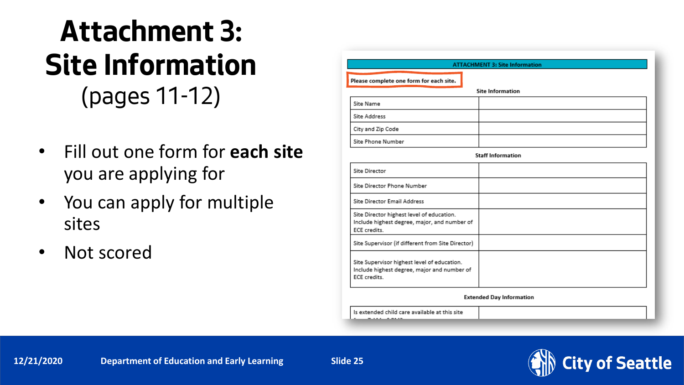## **Attachment 3: Site Information** (pages 11-12)

- Fill out one form for **each site** you are applying for
- You can apply for multiple sites
- Not scored

| <b>ATTACHMENT 3: Site Information</b>   |  |  |
|-----------------------------------------|--|--|
| Please complete one form for each site. |  |  |
| <b>Site Information</b>                 |  |  |
| Site Name                               |  |  |
| Site Address                            |  |  |
| City and Zip Code                       |  |  |
| Site Phone Number                       |  |  |

**Staff Information** 

| Site Director                                                                                              |  |
|------------------------------------------------------------------------------------------------------------|--|
| Site Director Phone Number                                                                                 |  |
| <b>Site Director Email Address</b>                                                                         |  |
| Site Director highest level of education.<br>Include highest degree, major, and number of<br>ECE credits.  |  |
| Site Supervisor (if different from Site Director)                                                          |  |
| Site Supervisor highest level of education.<br>Include highest degree, major and number of<br>ECE credits. |  |

**Extended Day Information** 

Is extended child care available at this site  $7.333 - 7.533$ 

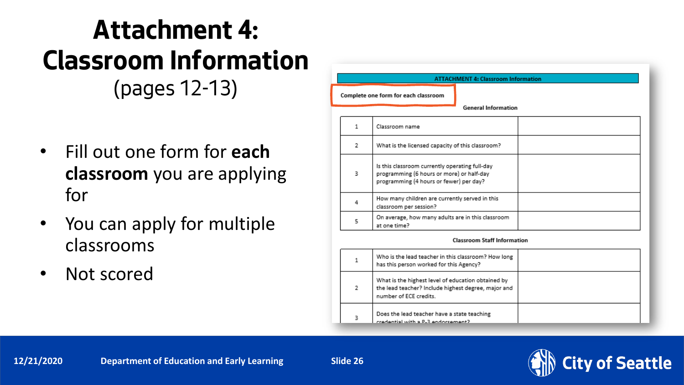### **Attachment 4: Classroom Information** (pages 12-13)

- Fill out one form for **each classroom** you are applying for
- You can apply for multiple classrooms
- Not scored

| <b>ATTACHMENT 4: Classroom Information</b> |                                                                                                                                        |  |
|--------------------------------------------|----------------------------------------------------------------------------------------------------------------------------------------|--|
| Complete one form for each classroom       |                                                                                                                                        |  |
|                                            | <b>General Information</b>                                                                                                             |  |
| 1                                          | Classroom name                                                                                                                         |  |
| 2                                          | What is the licensed capacity of this classroom?                                                                                       |  |
| 3                                          | Is this classroom currently operating full-day<br>programming (6 hours or more) or half-day<br>programming (4 hours or fewer) per day? |  |
| 4                                          | How many children are currently served in this<br>classroom per session?                                                               |  |
| 5                                          | On average, how many adults are in this classroom<br>at one time?                                                                      |  |

|   | Who is the lead teacher in this classroom? How long<br>has this person worked for this Agency?                                      |  |
|---|-------------------------------------------------------------------------------------------------------------------------------------|--|
| 2 | What is the highest level of education obtained by<br>the lead teacher? Include highest degree, major and<br>number of ECE credits. |  |
| з | Does the lead teacher have a state teaching<br>Ctramazonhas F-2 utility leitnahan                                                   |  |

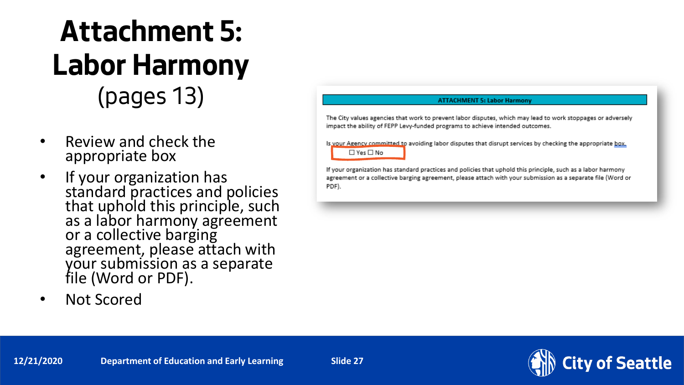## **Attachment 5: Labor Harmony** (pages 13)

- Review and check the appropriate box
- If your organization has standard practices and policies that uphold this principle, such as a labor harmony agreement or a collective barging agreement, please attach with your submission as a separate file (Word or PDF).
- Not Scored

#### **ATTACHMENT 5: Labor Harmony**

The City values agencies that work to prevent labor disputes, which may lead to work stoppages or adversely impact the ability of FEPP Levy-funded programs to achieve intended outcomes.

Is your Agency committed to avoiding labor disputes that disrupt services by checking the appropriate box.  $\Box$  Yes  $\Box$  No

If your organization has standard practices and policies that uphold this principle, such as a labor harmony agreement or a collective barging agreement, please attach with your submission as a separate file (Word or PDF).

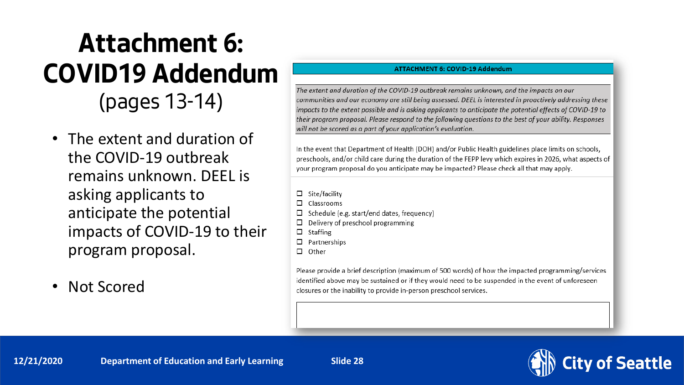## **Attachment 6: COVID19 Addendum** (pages 13-14)

- The extent and duration of the COVID-19 outbreak remains unknown. DEEL is asking applicants to anticipate the potential impacts of COVID-19 to their program proposal.
- Not Scored

#### **ATTACHMENT 6: COVID-19 Addendum**

The extent and duration of the COVID-19 outbreak remains unknown, and the impacts on our communities and our economy are still being assessed. DEEL is interested in proactively addressing these impacts to the extent possible and is asking applicants to anticipate the potential effects of COVID-19 to their program proposal. Please respond to the following questions to the best of your ability. Responses will not be scored as a part of your application's evaluation.

In the event that Department of Health (DOH) and/or Public Health guidelines place limits on schools, preschools, and/or child care during the duration of the FEPP levy which expires in 2026, what aspects of your program proposal do you anticipate may be impacted? Please check all that may apply.

- $\Box$  Site/facility
- . Classrooms
- Schedule (e.g. start/end dates, frequency)
- Delivery of preschool programming □
- $\Box$  Staffing
- $\Box$  Partnerships
- $\Box$  Other

Please provide a brief description (maximum of 500 words) of how the impacted programming/services identified above may be sustained or if they would need to be suspended in the event of unforeseen closures or the inability to provide in-person preschool services.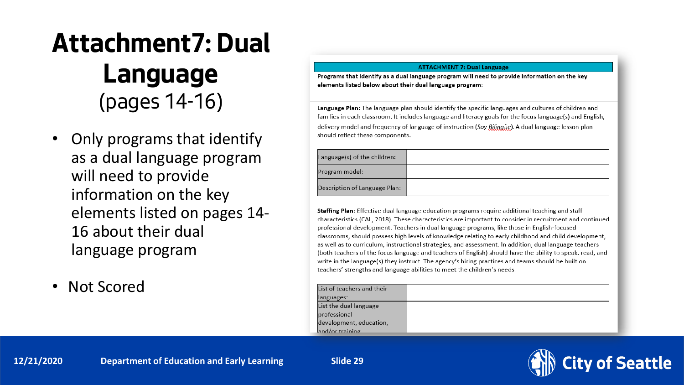## **Attachment7: Dual Language** (pages 14-16)

- Only programs that identify as a dual language program will need to provide information on the key elements listed on pages 14- 16 about their dual language program
- Not Scored

#### **ATTACHMENT 7: Dual Language**

Programs that identify as a dual language program will need to provide information on the key elements listed below about their dual language program:

Language Plan: The language plan should identify the specific languages and cultures of children and families in each classroom. It includes language and literacy goals for the focus language(s) and English, delivery model and frequency of language of instruction (Soy Bilingüe). A dual language lesson plan should reflect these components.

| .anguage(s) of the children:  |  |
|-------------------------------|--|
| rogram model:                 |  |
| )escription of Language Plan: |  |

Staffing Plan: Effective dual language education programs require additional teaching and staff characteristics (CAL, 2018). These characteristics are important to consider in recruitment and continued professional development. Teachers in dual language programs, like those in English-focused classrooms, should possess high levels of knowledge relating to early childhood and child development, as well as to curriculum, instructional strategies, and assessment. In addition, dual language teachers (both teachers of the focus language and teachers of English) should have the ability to speak, read, and write in the language(s) they instruct. The agency's hiring practices and teams should be built on teachers' strengths and language abilities to meet the children's needs.

| List of teachers and their |  |
|----------------------------|--|
| languages:                 |  |
| List the dual language     |  |
| professional               |  |
| development, education,    |  |
| $\lambda$ and/or training  |  |

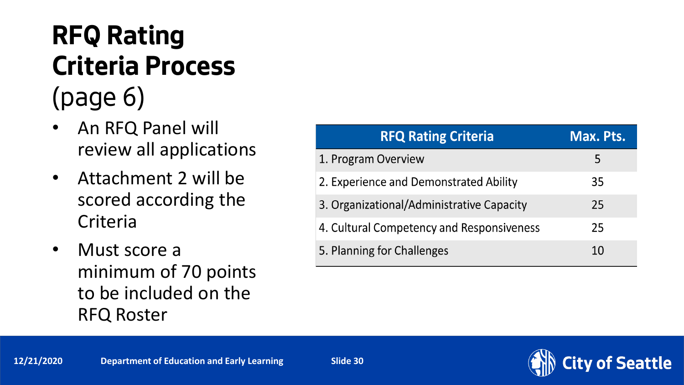## **RFQ Rating Criteria Process**  (page 6)

- An RFQ Panel will review all applications
- Attachment 2 will be scored according the **Criteria**
- Must score a minimum of 70 points to be included on the RFQ Roster

| <b>RFQ Rating Criteria</b>                | Max. Pts. |
|-------------------------------------------|-----------|
| 1. Program Overview                       |           |
| 2. Experience and Demonstrated Ability    | 35        |
| 3. Organizational/Administrative Capacity | 25        |
| 4. Cultural Competency and Responsiveness | 25        |
| 5. Planning for Challenges                | 10        |

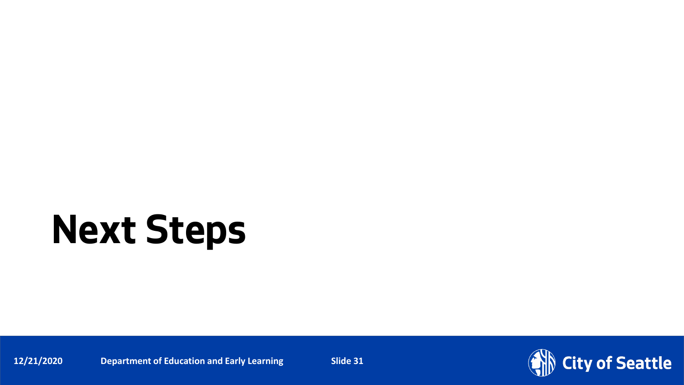# **Next Steps**

**12/21/2020** Department of Education and Early Learning Slide 31

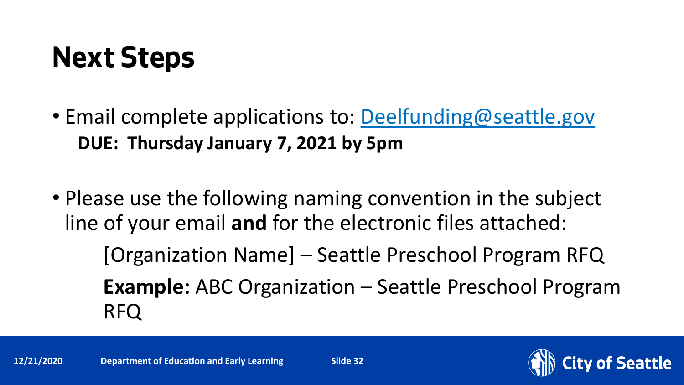## **Next Steps**

- Email complete applications to: [Deelfunding@seattle.gov](mailto:Deelfunding@seattle.gov) **DUE: Thursday January 7, 2021 by 5pm**
- Please use the following naming convention in the subject line of your email **and** for the electronic files attached: [Organization Name] – Seattle Preschool Program RFQ **Example:** ABC Organization – Seattle Preschool Program RFQ

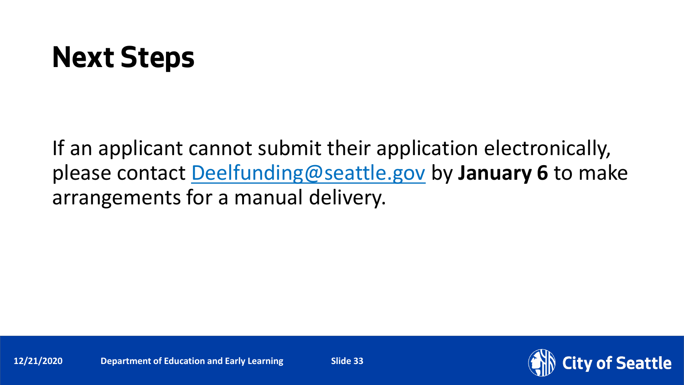## **Next Steps**

If an applicant cannot submit their application electronically, please contact [Deelfunding@seattle.gov](mailto:Education@seattle.gov) by **January 6** to make arrangements for a manual delivery.

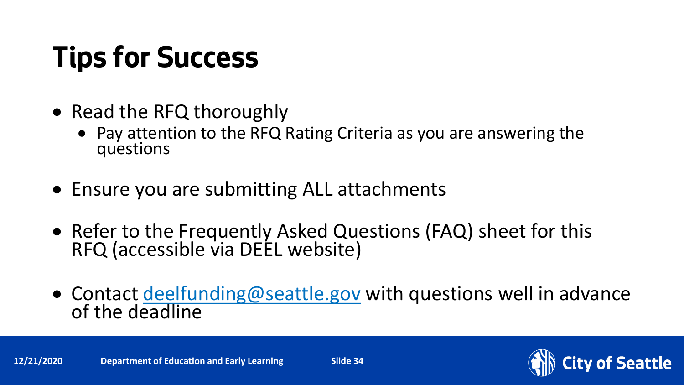# **Tips for Success**

- Read the RFQ thoroughly
	- Pay attention to the RFQ Rating Criteria as you are answering the questions
- Ensure you are submitting ALL attachments
- Refer to the Frequently Asked Questions (FAQ) sheet for this RFQ (accessible via DEEL website)
- Contact [deelfunding@seattle.gov](mailto:education@seattle.gov) with questions well in advance<br>of the deadline

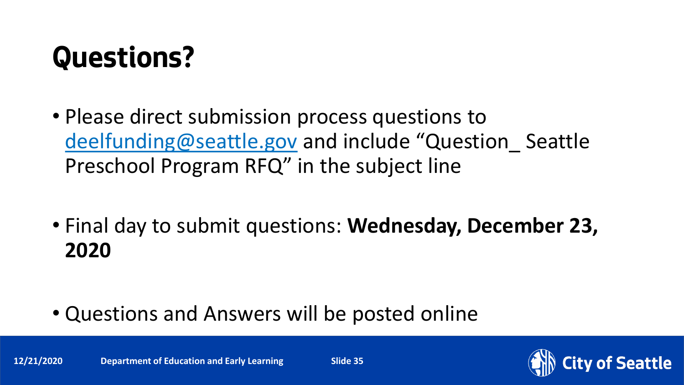# **Questions?**

- Please direct submission process questions to [deelfunding@seattle.gov](mailto:deelfunding@seattle.gov) and include "Question\_ Seattle Preschool Program RFQ" in the subject line
- Final day to submit questions: **Wednesday, December 23, 2020**
- Questions and Answers will be posted online